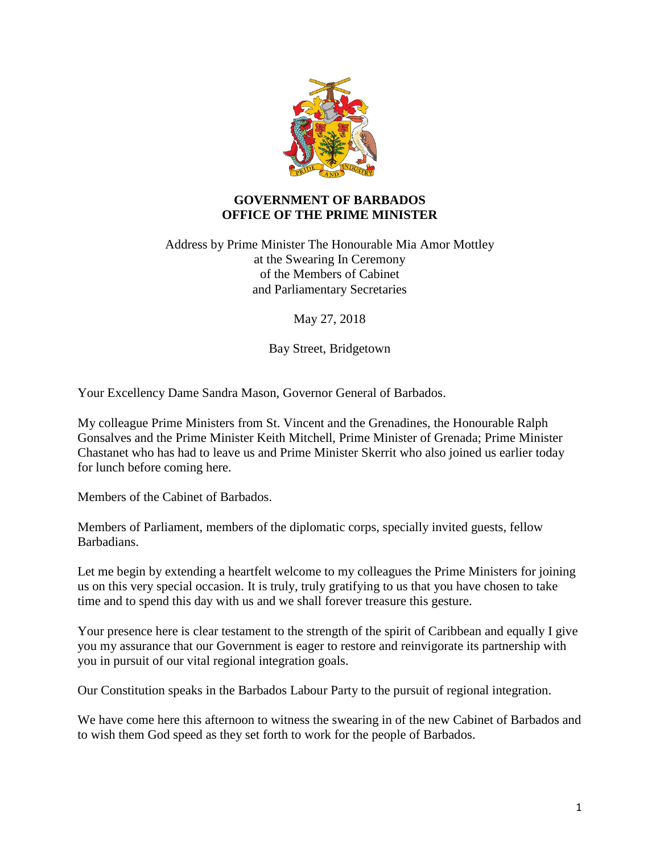

## **GOVERNMENT OF BARBADOS OFFICE OF THE PRIME MINISTER**

## Address by Prime Minister The Honourable Mia Amor Mottley at the Swearing In Ceremony of the Members of Cabinet and Parliamentary Secretaries

May 27, 2018

Bay Street, Bridgetown

Your Excellency Dame Sandra Mason, Governor General of Barbados.

My colleague Prime Ministers from St. Vincent and the Grenadines, the Honourable Ralph Gonsalves and the Prime Minister Keith Mitchell, Prime Minister of Grenada; Prime Minister Chastanet who has had to leave us and Prime Minister Skerrit who also joined us earlier today for lunch before coming here.

Members of the Cabinet of Barbados.

Members of Parliament, members of the diplomatic corps, specially invited guests, fellow Barbadians.

Let me begin by extending a heartfelt welcome to my colleagues the Prime Ministers for joining us on this very special occasion. It is truly, truly gratifying to us that you have chosen to take time and to spend this day with us and we shall forever treasure this gesture.

Your presence here is clear testament to the strength of the spirit of Caribbean and equally I give you my assurance that our Government is eager to restore and reinvigorate its partnership with you in pursuit of our vital regional integration goals.

Our Constitution speaks in the Barbados Labour Party to the pursuit of regional integration.

We have come here this afternoon to witness the swearing in of the new Cabinet of Barbados and to wish them God speed as they set forth to work for the people of Barbados.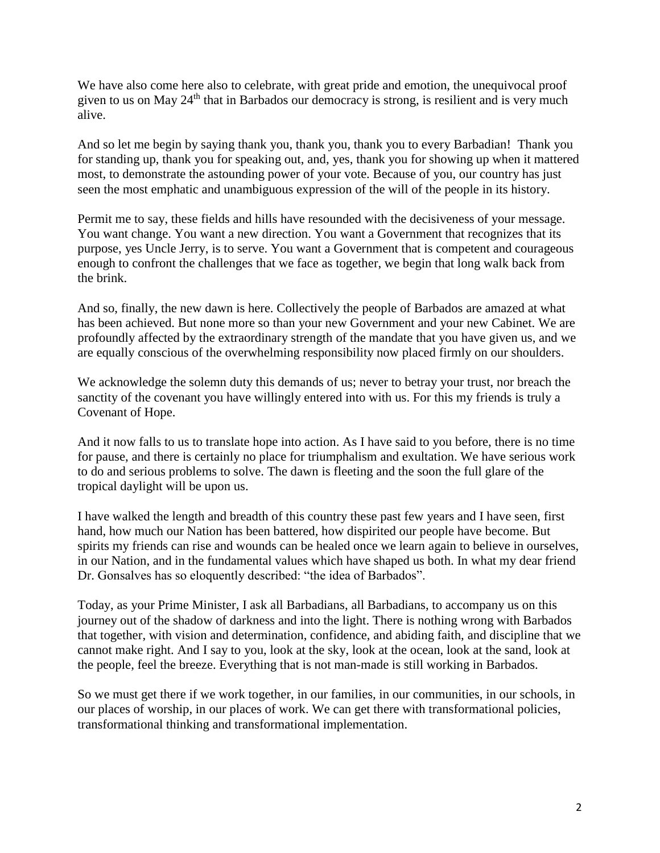We have also come here also to celebrate, with great pride and emotion, the unequivocal proof given to us on May 24<sup>th</sup> that in Barbados our democracy is strong, is resilient and is very much alive.

And so let me begin by saying thank you, thank you, thank you to every Barbadian! Thank you for standing up, thank you for speaking out, and, yes, thank you for showing up when it mattered most, to demonstrate the astounding power of your vote. Because of you, our country has just seen the most emphatic and unambiguous expression of the will of the people in its history.

Permit me to say, these fields and hills have resounded with the decisiveness of your message. You want change. You want a new direction. You want a Government that recognizes that its purpose, yes Uncle Jerry, is to serve. You want a Government that is competent and courageous enough to confront the challenges that we face as together, we begin that long walk back from the brink.

And so, finally, the new dawn is here. Collectively the people of Barbados are amazed at what has been achieved. But none more so than your new Government and your new Cabinet. We are profoundly affected by the extraordinary strength of the mandate that you have given us, and we are equally conscious of the overwhelming responsibility now placed firmly on our shoulders.

We acknowledge the solemn duty this demands of us; never to betray your trust, nor breach the sanctity of the covenant you have willingly entered into with us. For this my friends is truly a Covenant of Hope.

And it now falls to us to translate hope into action. As I have said to you before, there is no time for pause, and there is certainly no place for triumphalism and exultation. We have serious work to do and serious problems to solve. The dawn is fleeting and the soon the full glare of the tropical daylight will be upon us.

I have walked the length and breadth of this country these past few years and I have seen, first hand, how much our Nation has been battered, how dispirited our people have become. But spirits my friends can rise and wounds can be healed once we learn again to believe in ourselves, in our Nation, and in the fundamental values which have shaped us both. In what my dear friend Dr. Gonsalves has so eloquently described: "the idea of Barbados".

Today, as your Prime Minister, I ask all Barbadians, all Barbadians, to accompany us on this journey out of the shadow of darkness and into the light. There is nothing wrong with Barbados that together, with vision and determination, confidence, and abiding faith, and discipline that we cannot make right. And I say to you, look at the sky, look at the ocean, look at the sand, look at the people, feel the breeze. Everything that is not man-made is still working in Barbados.

So we must get there if we work together, in our families, in our communities, in our schools, in our places of worship, in our places of work. We can get there with transformational policies, transformational thinking and transformational implementation.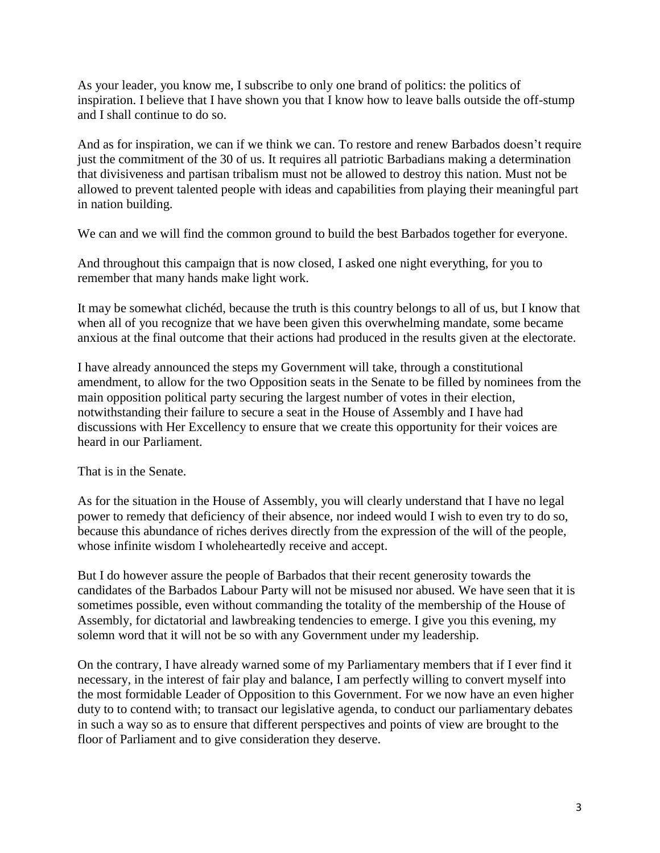As your leader, you know me, I subscribe to only one brand of politics: the politics of inspiration. I believe that I have shown you that I know how to leave balls outside the off-stump and I shall continue to do so.

And as for inspiration, we can if we think we can. To restore and renew Barbados doesn't require just the commitment of the 30 of us. It requires all patriotic Barbadians making a determination that divisiveness and partisan tribalism must not be allowed to destroy this nation. Must not be allowed to prevent talented people with ideas and capabilities from playing their meaningful part in nation building.

We can and we will find the common ground to build the best Barbados together for everyone.

And throughout this campaign that is now closed, I asked one night everything, for you to remember that many hands make light work.

It may be somewhat clichéd, because the truth is this country belongs to all of us, but I know that when all of you recognize that we have been given this overwhelming mandate, some became anxious at the final outcome that their actions had produced in the results given at the electorate.

I have already announced the steps my Government will take, through a constitutional amendment, to allow for the two Opposition seats in the Senate to be filled by nominees from the main opposition political party securing the largest number of votes in their election, notwithstanding their failure to secure a seat in the House of Assembly and I have had discussions with Her Excellency to ensure that we create this opportunity for their voices are heard in our Parliament.

That is in the Senate.

As for the situation in the House of Assembly, you will clearly understand that I have no legal power to remedy that deficiency of their absence, nor indeed would I wish to even try to do so, because this abundance of riches derives directly from the expression of the will of the people, whose infinite wisdom I wholeheartedly receive and accept.

But I do however assure the people of Barbados that their recent generosity towards the candidates of the Barbados Labour Party will not be misused nor abused. We have seen that it is sometimes possible, even without commanding the totality of the membership of the House of Assembly, for dictatorial and lawbreaking tendencies to emerge. I give you this evening, my solemn word that it will not be so with any Government under my leadership.

On the contrary, I have already warned some of my Parliamentary members that if I ever find it necessary, in the interest of fair play and balance, I am perfectly willing to convert myself into the most formidable Leader of Opposition to this Government. For we now have an even higher duty to to contend with; to transact our legislative agenda, to conduct our parliamentary debates in such a way so as to ensure that different perspectives and points of view are brought to the floor of Parliament and to give consideration they deserve.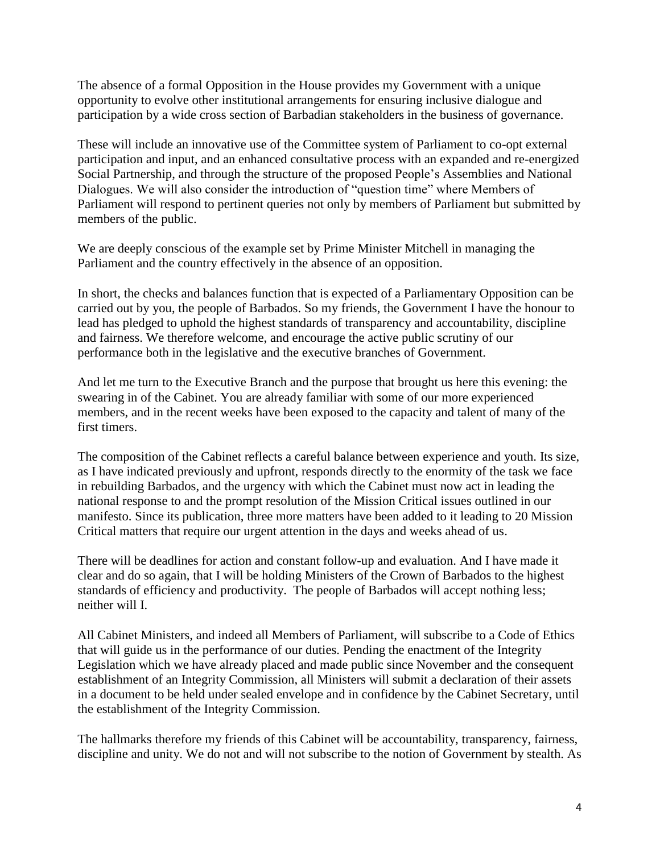The absence of a formal Opposition in the House provides my Government with a unique opportunity to evolve other institutional arrangements for ensuring inclusive dialogue and participation by a wide cross section of Barbadian stakeholders in the business of governance.

These will include an innovative use of the Committee system of Parliament to co-opt external participation and input, and an enhanced consultative process with an expanded and re-energized Social Partnership, and through the structure of the proposed People's Assemblies and National Dialogues. We will also consider the introduction of "question time" where Members of Parliament will respond to pertinent queries not only by members of Parliament but submitted by members of the public.

We are deeply conscious of the example set by Prime Minister Mitchell in managing the Parliament and the country effectively in the absence of an opposition.

In short, the checks and balances function that is expected of a Parliamentary Opposition can be carried out by you, the people of Barbados. So my friends, the Government I have the honour to lead has pledged to uphold the highest standards of transparency and accountability, discipline and fairness. We therefore welcome, and encourage the active public scrutiny of our performance both in the legislative and the executive branches of Government.

And let me turn to the Executive Branch and the purpose that brought us here this evening: the swearing in of the Cabinet. You are already familiar with some of our more experienced members, and in the recent weeks have been exposed to the capacity and talent of many of the first timers.

The composition of the Cabinet reflects a careful balance between experience and youth. Its size, as I have indicated previously and upfront, responds directly to the enormity of the task we face in rebuilding Barbados, and the urgency with which the Cabinet must now act in leading the national response to and the prompt resolution of the Mission Critical issues outlined in our manifesto. Since its publication, three more matters have been added to it leading to 20 Mission Critical matters that require our urgent attention in the days and weeks ahead of us.

There will be deadlines for action and constant follow-up and evaluation. And I have made it clear and do so again, that I will be holding Ministers of the Crown of Barbados to the highest standards of efficiency and productivity. The people of Barbados will accept nothing less; neither will I.

All Cabinet Ministers, and indeed all Members of Parliament, will subscribe to a Code of Ethics that will guide us in the performance of our duties. Pending the enactment of the Integrity Legislation which we have already placed and made public since November and the consequent establishment of an Integrity Commission, all Ministers will submit a declaration of their assets in a document to be held under sealed envelope and in confidence by the Cabinet Secretary, until the establishment of the Integrity Commission.

The hallmarks therefore my friends of this Cabinet will be accountability, transparency, fairness, discipline and unity. We do not and will not subscribe to the notion of Government by stealth. As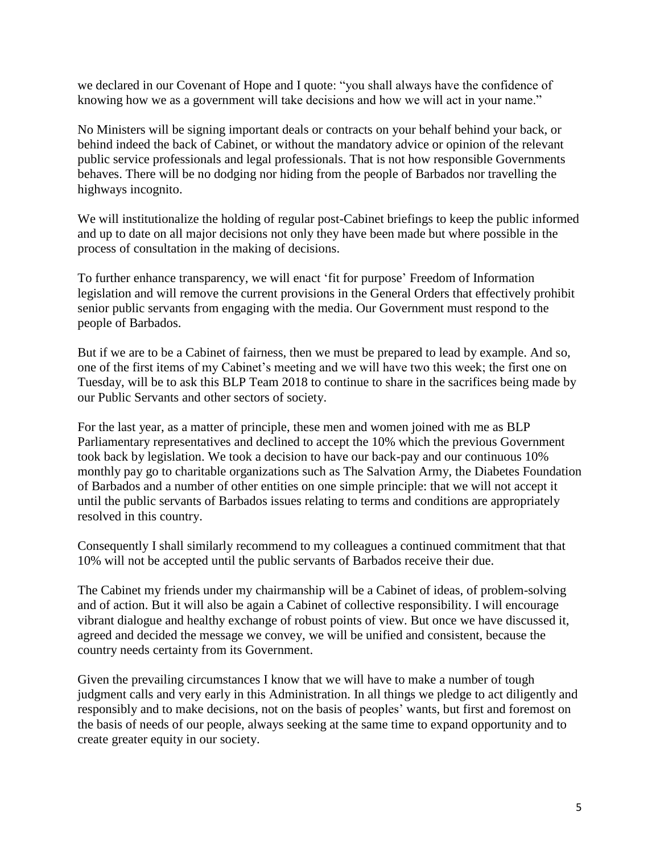we declared in our Covenant of Hope and I quote: "you shall always have the confidence of knowing how we as a government will take decisions and how we will act in your name."

No Ministers will be signing important deals or contracts on your behalf behind your back, or behind indeed the back of Cabinet, or without the mandatory advice or opinion of the relevant public service professionals and legal professionals. That is not how responsible Governments behaves. There will be no dodging nor hiding from the people of Barbados nor travelling the highways incognito.

We will institutionalize the holding of regular post-Cabinet briefings to keep the public informed and up to date on all major decisions not only they have been made but where possible in the process of consultation in the making of decisions.

To further enhance transparency, we will enact 'fit for purpose' Freedom of Information legislation and will remove the current provisions in the General Orders that effectively prohibit senior public servants from engaging with the media. Our Government must respond to the people of Barbados.

But if we are to be a Cabinet of fairness, then we must be prepared to lead by example. And so, one of the first items of my Cabinet's meeting and we will have two this week; the first one on Tuesday, will be to ask this BLP Team 2018 to continue to share in the sacrifices being made by our Public Servants and other sectors of society.

For the last year, as a matter of principle, these men and women joined with me as BLP Parliamentary representatives and declined to accept the 10% which the previous Government took back by legislation. We took a decision to have our back-pay and our continuous 10% monthly pay go to charitable organizations such as The Salvation Army, the Diabetes Foundation of Barbados and a number of other entities on one simple principle: that we will not accept it until the public servants of Barbados issues relating to terms and conditions are appropriately resolved in this country.

Consequently I shall similarly recommend to my colleagues a continued commitment that that 10% will not be accepted until the public servants of Barbados receive their due.

The Cabinet my friends under my chairmanship will be a Cabinet of ideas, of problem-solving and of action. But it will also be again a Cabinet of collective responsibility. I will encourage vibrant dialogue and healthy exchange of robust points of view. But once we have discussed it, agreed and decided the message we convey, we will be unified and consistent, because the country needs certainty from its Government.

Given the prevailing circumstances I know that we will have to make a number of tough judgment calls and very early in this Administration. In all things we pledge to act diligently and responsibly and to make decisions, not on the basis of peoples' wants, but first and foremost on the basis of needs of our people, always seeking at the same time to expand opportunity and to create greater equity in our society.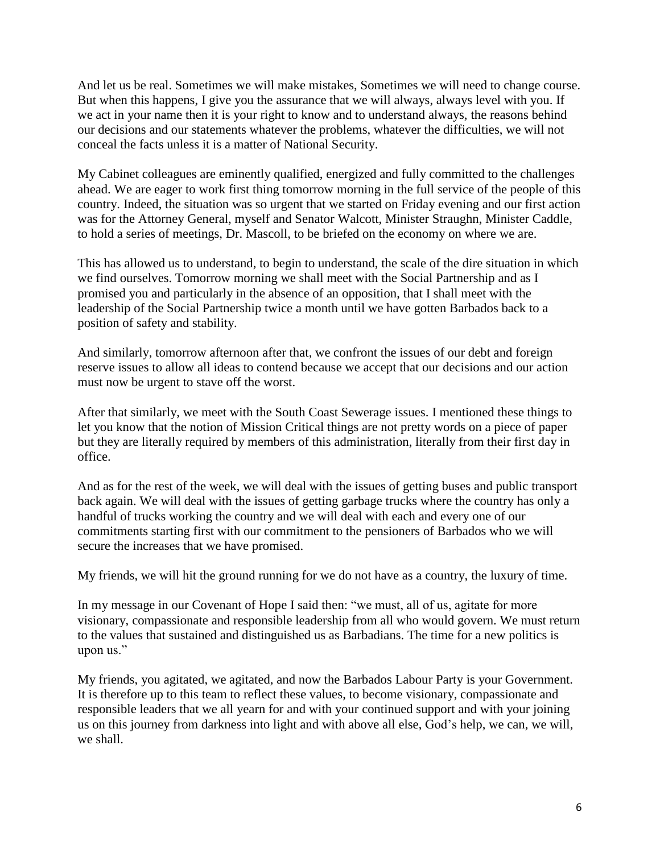And let us be real. Sometimes we will make mistakes, Sometimes we will need to change course. But when this happens, I give you the assurance that we will always, always level with you. If we act in your name then it is your right to know and to understand always, the reasons behind our decisions and our statements whatever the problems, whatever the difficulties, we will not conceal the facts unless it is a matter of National Security.

My Cabinet colleagues are eminently qualified, energized and fully committed to the challenges ahead. We are eager to work first thing tomorrow morning in the full service of the people of this country. Indeed, the situation was so urgent that we started on Friday evening and our first action was for the Attorney General, myself and Senator Walcott, Minister Straughn, Minister Caddle, to hold a series of meetings, Dr. Mascoll, to be briefed on the economy on where we are.

This has allowed us to understand, to begin to understand, the scale of the dire situation in which we find ourselves. Tomorrow morning we shall meet with the Social Partnership and as I promised you and particularly in the absence of an opposition, that I shall meet with the leadership of the Social Partnership twice a month until we have gotten Barbados back to a position of safety and stability.

And similarly, tomorrow afternoon after that, we confront the issues of our debt and foreign reserve issues to allow all ideas to contend because we accept that our decisions and our action must now be urgent to stave off the worst.

After that similarly, we meet with the South Coast Sewerage issues. I mentioned these things to let you know that the notion of Mission Critical things are not pretty words on a piece of paper but they are literally required by members of this administration, literally from their first day in office.

And as for the rest of the week, we will deal with the issues of getting buses and public transport back again. We will deal with the issues of getting garbage trucks where the country has only a handful of trucks working the country and we will deal with each and every one of our commitments starting first with our commitment to the pensioners of Barbados who we will secure the increases that we have promised.

My friends, we will hit the ground running for we do not have as a country, the luxury of time.

In my message in our Covenant of Hope I said then: "we must, all of us, agitate for more visionary, compassionate and responsible leadership from all who would govern. We must return to the values that sustained and distinguished us as Barbadians. The time for a new politics is upon us."

My friends, you agitated, we agitated, and now the Barbados Labour Party is your Government. It is therefore up to this team to reflect these values, to become visionary, compassionate and responsible leaders that we all yearn for and with your continued support and with your joining us on this journey from darkness into light and with above all else, God's help, we can, we will, we shall.